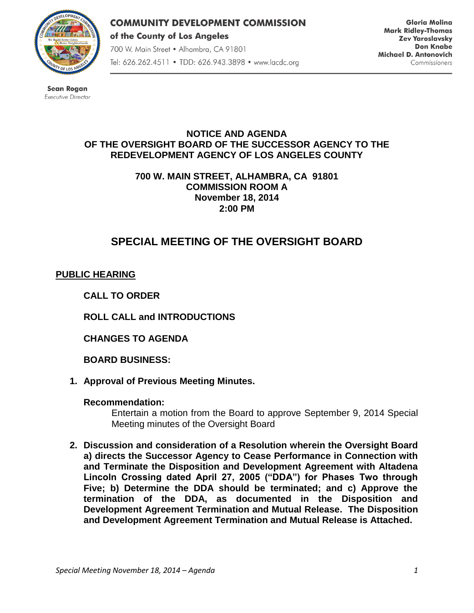

**COMMUNITY DEVELOPMENT COMMISSION** of the County of Los Angeles 700 W. Main Street . Alhambra, CA 91801 Tel: 626.262.4511 • TDD: 626.943.3898 • www.lacdc.org

**Gloria Molina Mark Ridley-Thomas Zev Yaroslavsky Don Knabe** Michael D. Antonovich Commissioners

**Sean Rogan** Executive Director

## **NOTICE AND AGENDA OF THE OVERSIGHT BOARD OF THE SUCCESSOR AGENCY TO THE REDEVELOPMENT AGENCY OF LOS ANGELES COUNTY**

**700 W. MAIN STREET, ALHAMBRA, CA 91801 COMMISSION ROOM A November 18, 2014 2:00 PM**

# **SPECIAL MEETING OF THE OVERSIGHT BOARD**

# **PUBLIC HEARING**

**CALL TO ORDER**

**ROLL CALL and INTRODUCTIONS** 

**CHANGES TO AGENDA**

**BOARD BUSINESS:**

**1. Approval of Previous Meeting Minutes.**

## **Recommendation:**

Entertain a motion from the Board to approve September 9, 2014 Special Meeting minutes of the Oversight Board

**2. Discussion and consideration of a Resolution wherein the Oversight Board a) directs the Successor Agency to Cease Performance in Connection with and Terminate the Disposition and Development Agreement with Altadena Lincoln Crossing dated April 27, 2005 ("DDA") for Phases Two through Five; b) Determine the DDA should be terminated; and c) Approve the termination of the DDA, as documented in the Disposition and Development Agreement Termination and Mutual Release. The Disposition and Development Agreement Termination and Mutual Release is Attached.**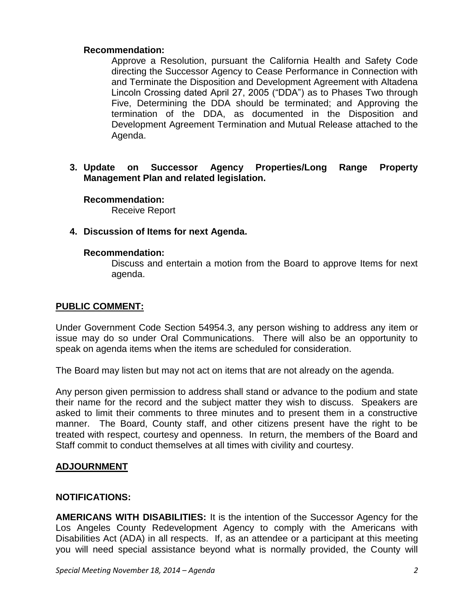#### **Recommendation:**

Approve a Resolution, pursuant the California Health and Safety Code directing the Successor Agency to Cease Performance in Connection with and Terminate the Disposition and Development Agreement with Altadena Lincoln Crossing dated April 27, 2005 ("DDA") as to Phases Two through Five, Determining the DDA should be terminated; and Approving the termination of the DDA, as documented in the Disposition and Development Agreement Termination and Mutual Release attached to the Agenda.

**3. Update on Successor Agency Properties/Long Range Property Management Plan and related legislation.**

**Recommendation:**

Receive Report

## **4. Discussion of Items for next Agenda.**

#### **Recommendation:**

Discuss and entertain a motion from the Board to approve Items for next agenda.

## **PUBLIC COMMENT:**

Under Government Code Section 54954.3, any person wishing to address any item or issue may do so under Oral Communications. There will also be an opportunity to speak on agenda items when the items are scheduled for consideration.

The Board may listen but may not act on items that are not already on the agenda.

Any person given permission to address shall stand or advance to the podium and state their name for the record and the subject matter they wish to discuss. Speakers are asked to limit their comments to three minutes and to present them in a constructive manner. The Board, County staff, and other citizens present have the right to be treated with respect, courtesy and openness. In return, the members of the Board and Staff commit to conduct themselves at all times with civility and courtesy.

## **ADJOURNMENT**

## **NOTIFICATIONS:**

**AMERICANS WITH DISABILITIES:** It is the intention of the Successor Agency for the Los Angeles County Redevelopment Agency to comply with the Americans with Disabilities Act (ADA) in all respects. If, as an attendee or a participant at this meeting you will need special assistance beyond what is normally provided, the County will